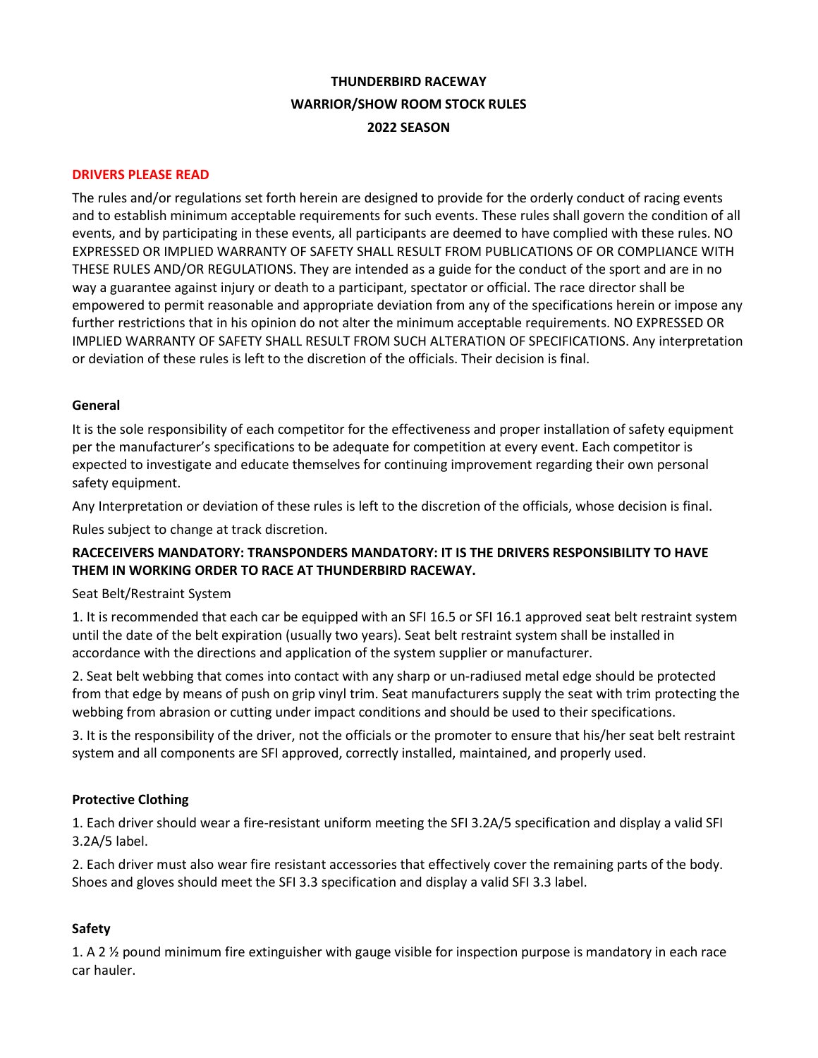# **THUNDERBIRD RACEWAY WARRIOR/SHOW ROOM STOCK RULES 2022 SEASON**

#### **DRIVERS PLEASE READ**

The rules and/or regulations set forth herein are designed to provide for the orderly conduct of racing events and to establish minimum acceptable requirements for such events. These rules shall govern the condition of all events, and by participating in these events, all participants are deemed to have complied with these rules. NO EXPRESSED OR IMPLIED WARRANTY OF SAFETY SHALL RESULT FROM PUBLICATIONS OF OR COMPLIANCE WITH THESE RULES AND/OR REGULATIONS. They are intended as a guide for the conduct of the sport and are in no way a guarantee against injury or death to a participant, spectator or official. The race director shall be empowered to permit reasonable and appropriate deviation from any of the specifications herein or impose any further restrictions that in his opinion do not alter the minimum acceptable requirements. NO EXPRESSED OR IMPLIED WARRANTY OF SAFETY SHALL RESULT FROM SUCH ALTERATION OF SPECIFICATIONS. Any interpretation or deviation of these rules is left to the discretion of the officials. Their decision is final.

#### **General**

It is the sole responsibility of each competitor for the effectiveness and proper installation of safety equipment per the manufacturer's specifications to be adequate for competition at every event. Each competitor is expected to investigate and educate themselves for continuing improvement regarding their own personal safety equipment.

Any Interpretation or deviation of these rules is left to the discretion of the officials, whose decision is final.

Rules subject to change at track discretion.

# **RACECEIVERS MANDATORY: TRANSPONDERS MANDATORY: IT IS THE DRIVERS RESPONSIBILITY TO HAVE THEM IN WORKING ORDER TO RACE AT THUNDERBIRD RACEWAY.**

#### Seat Belt/Restraint System

1. It is recommended that each car be equipped with an SFI 16.5 or SFI 16.1 approved seat belt restraint system until the date of the belt expiration (usually two years). Seat belt restraint system shall be installed in accordance with the directions and application of the system supplier or manufacturer.

2. Seat belt webbing that comes into contact with any sharp or un-radiused metal edge should be protected from that edge by means of push on grip vinyl trim. Seat manufacturers supply the seat with trim protecting the webbing from abrasion or cutting under impact conditions and should be used to their specifications.

3. It is the responsibility of the driver, not the officials or the promoter to ensure that his/her seat belt restraint system and all components are SFI approved, correctly installed, maintained, and properly used.

## **Protective Clothing**

1. Each driver should wear a fire-resistant uniform meeting the SFI 3.2A/5 specification and display a valid SFI 3.2A/5 label.

2. Each driver must also wear fire resistant accessories that effectively cover the remaining parts of the body. Shoes and gloves should meet the SFI 3.3 specification and display a valid SFI 3.3 label.

## **Safety**

1. A 2 ½ pound minimum fire extinguisher with gauge visible for inspection purpose is mandatory in each race car hauler.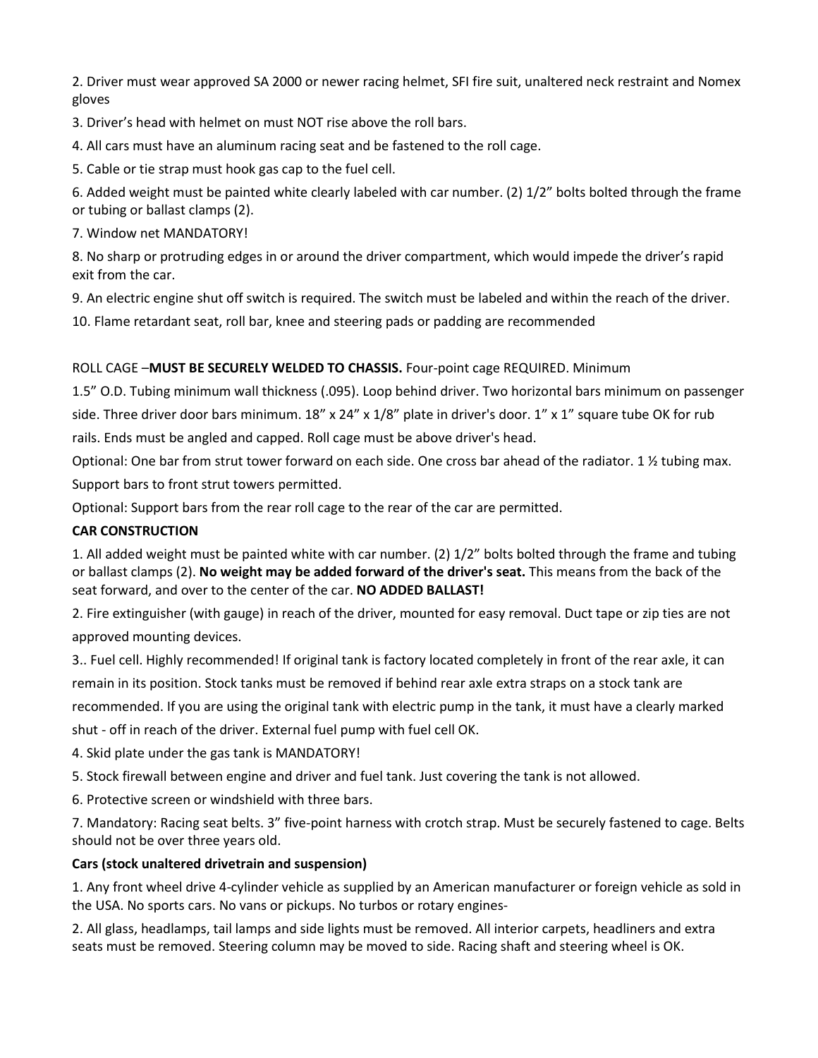2. Driver must wear approved SA 2000 or newer racing helmet, SFI fire suit, unaltered neck restraint and Nomex gloves

3. Driver's head with helmet on must NOT rise above the roll bars.

4. All cars must have an aluminum racing seat and be fastened to the roll cage.

5. Cable or tie strap must hook gas cap to the fuel cell.

6. Added weight must be painted white clearly labeled with car number. (2) 1/2" bolts bolted through the frame or tubing or ballast clamps (2).

7. Window net MANDATORY!

8. No sharp or protruding edges in or around the driver compartment, which would impede the driver's rapid exit from the car.

9. An electric engine shut off switch is required. The switch must be labeled and within the reach of the driver.

10. Flame retardant seat, roll bar, knee and steering pads or padding are recommended

# ROLL CAGE –**MUST BE SECURELY WELDED TO CHASSIS.** Four-point cage REQUIRED. Minimum

1.5" O.D. Tubing minimum wall thickness (.095). Loop behind driver. Two horizontal bars minimum on passenger

side. Three driver door bars minimum. 18" x 24" x 1/8" plate in driver's door. 1" x 1" square tube OK for rub

rails. Ends must be angled and capped. Roll cage must be above driver's head.

Optional: One bar from strut tower forward on each side. One cross bar ahead of the radiator. 1 ½ tubing max. Support bars to front strut towers permitted.

Optional: Support bars from the rear roll cage to the rear of the car are permitted.

# **CAR CONSTRUCTION**

1. All added weight must be painted white with car number. (2) 1/2" bolts bolted through the frame and tubing or ballast clamps (2). **No weight may be added forward of the driver's seat.** This means from the back of the seat forward, and over to the center of the car. **NO ADDED BALLAST!** 

2. Fire extinguisher (with gauge) in reach of the driver, mounted for easy removal. Duct tape or zip ties are not approved mounting devices.

3.. Fuel cell. Highly recommended! If original tank is factory located completely in front of the rear axle, it can remain in its position. Stock tanks must be removed if behind rear axle extra straps on a stock tank are recommended. If you are using the original tank with electric pump in the tank, it must have a clearly marked shut - off in reach of the driver. External fuel pump with fuel cell OK.

4. Skid plate under the gas tank is MANDATORY!

5. Stock firewall between engine and driver and fuel tank. Just covering the tank is not allowed.

6. Protective screen or windshield with three bars.

7. Mandatory: Racing seat belts. 3" five-point harness with crotch strap. Must be securely fastened to cage. Belts should not be over three years old.

## **Cars (stock unaltered drivetrain and suspension)**

1. Any front wheel drive 4-cylinder vehicle as supplied by an American manufacturer or foreign vehicle as sold in the USA. No sports cars. No vans or pickups. No turbos or rotary engines-

2. All glass, headlamps, tail lamps and side lights must be removed. All interior carpets, headliners and extra seats must be removed. Steering column may be moved to side. Racing shaft and steering wheel is OK.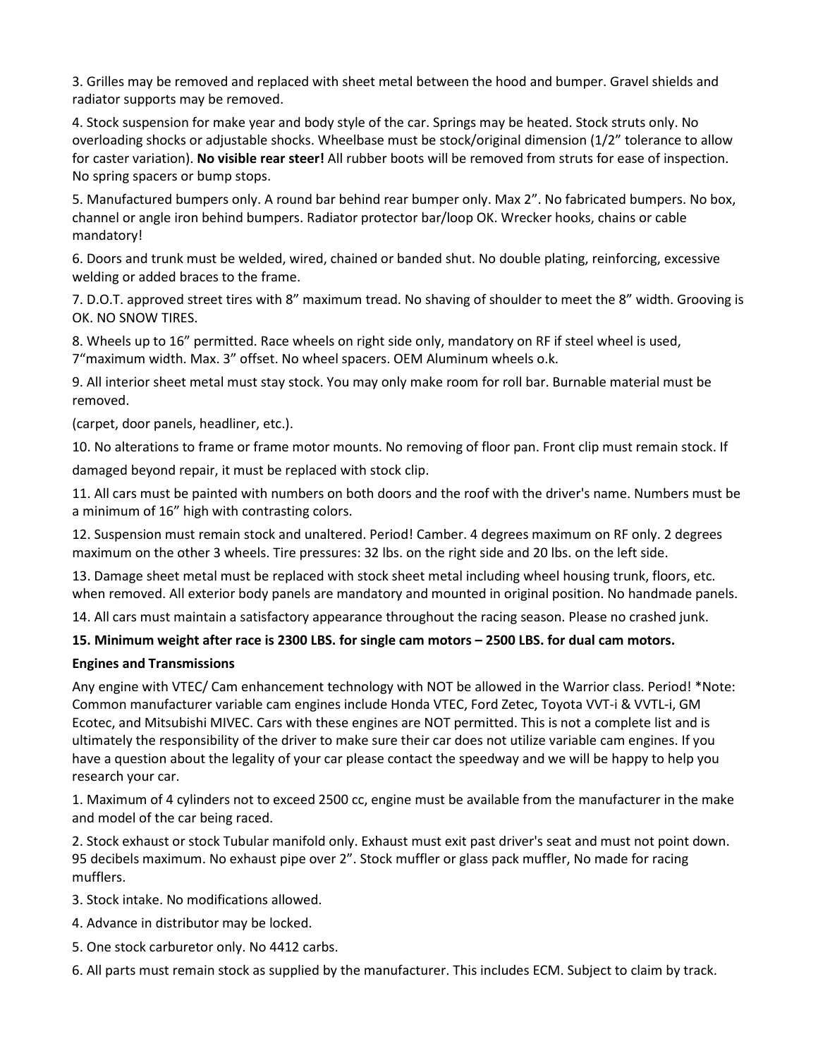3. Grilles may be removed and replaced with sheet metal between the hood and bumper. Gravel shields and radiator supports may be removed.

4. Stock suspension for make year and body style of the car. Springs may be heated. Stock struts only. No overloading shocks or adjustable shocks. Wheelbase must be stock/original dimension (1/2" tolerance to allow for caster variation). **No visible rear steer!** All rubber boots will be removed from struts for ease of inspection. No spring spacers or bump stops.

5. Manufactured bumpers only. A round bar behind rear bumper only. Max 2". No fabricated bumpers. No box, channel or angle iron behind bumpers. Radiator protector bar/loop OK. Wrecker hooks, chains or cable mandatory!

6. Doors and trunk must be welded, wired, chained or banded shut. No double plating, reinforcing, excessive welding or added braces to the frame.

7. D.O.T. approved street tires with 8" maximum tread. No shaving of shoulder to meet the 8" width. Grooving is OK. NO SNOW TIRES.

8. Wheels up to 16" permitted. Race wheels on right side only, mandatory on RF if steel wheel is used, 7"maximum width. Max. 3" offset. No wheel spacers. OEM Aluminum wheels o.k.

9. All interior sheet metal must stay stock. You may only make room for roll bar. Burnable material must be removed.

(carpet, door panels, headliner, etc.).

10. No alterations to frame or frame motor mounts. No removing of floor pan. Front clip must remain stock. If damaged beyond repair, it must be replaced with stock clip.

11. All cars must be painted with numbers on both doors and the roof with the driver's name. Numbers must be a minimum of 16" high with contrasting colors.

12. Suspension must remain stock and unaltered. Period! Camber. 4 degrees maximum on RF only. 2 degrees maximum on the other 3 wheels. Tire pressures: 32 lbs. on the right side and 20 lbs. on the left side.

13. Damage sheet metal must be replaced with stock sheet metal including wheel housing trunk, floors, etc. when removed. All exterior body panels are mandatory and mounted in original position. No handmade panels.

14. All cars must maintain a satisfactory appearance throughout the racing season. Please no crashed junk.

# **15. Minimum weight after race is 2300 LBS. for single cam motors – 2500 LBS. for dual cam motors.**

## **Engines and Transmissions**

Any engine with VTEC/ Cam enhancement technology with NOT be allowed in the Warrior class. Period! \*Note: Common manufacturer variable cam engines include Honda VTEC, Ford Zetec, Toyota VVT-i & VVTL-i, GM Ecotec, and Mitsubishi MIVEC. Cars with these engines are NOT permitted. This is not a complete list and is ultimately the responsibility of the driver to make sure their car does not utilize variable cam engines. If you have a question about the legality of your car please contact the speedway and we will be happy to help you research your car.

1. Maximum of 4 cylinders not to exceed 2500 cc, engine must be available from the manufacturer in the make and model of the car being raced.

2. Stock exhaust or stock Tubular manifold only. Exhaust must exit past driver's seat and must not point down. 95 decibels maximum. No exhaust pipe over 2". Stock muffler or glass pack muffler, No made for racing mufflers.

3. Stock intake. No modifications allowed.

- 4. Advance in distributor may be locked.
- 5. One stock carburetor only. No 4412 carbs.
- 6. All parts must remain stock as supplied by the manufacturer. This includes ECM. Subject to claim by track.